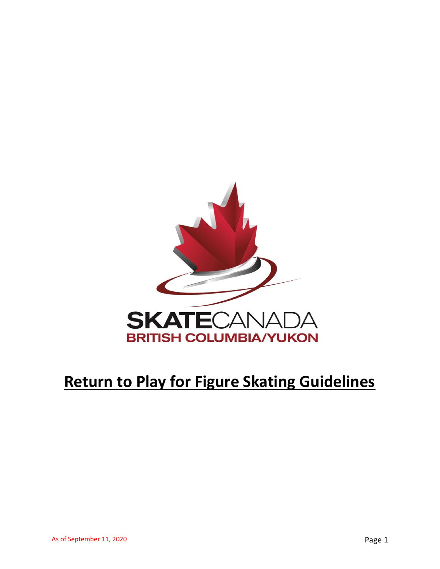

# **Return to Play for Figure Skating Guidelines**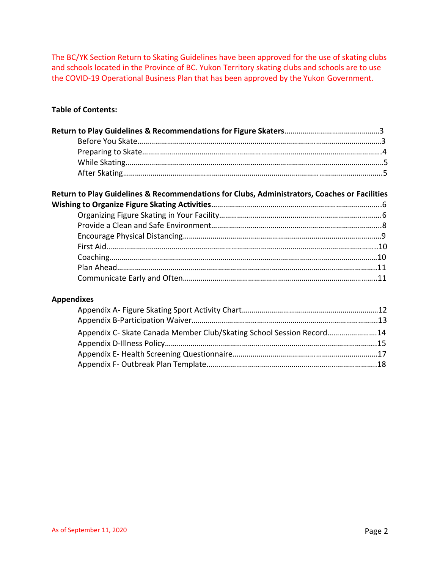The BC/YK Section Return to Skating Guidelines have been approved for the use of skating clubs and schools located in the Province of BC. Yukon Territory skating clubs and schools are to use the COVID-19 Operational Business Plan that has been approved by the Yukon Government.

# **Table of Contents:**

| Return to Play Guidelines & Recommendations for Clubs, Administrators, Coaches or Facilities |  |
|----------------------------------------------------------------------------------------------|--|

# **Appendixes**

| Appendix C- Skate Canada Member Club/Skating School Session Record14 |  |
|----------------------------------------------------------------------|--|
|                                                                      |  |
|                                                                      |  |
|                                                                      |  |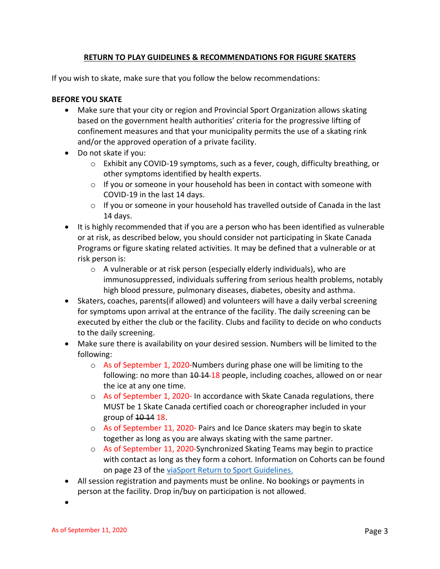# **RETURN TO PLAY GUIDELINES & RECOMMENDATIONS FOR FIGURE SKATERS**

If you wish to skate, make sure that you follow the below recommendations:

# **BEFORE YOU SKATE**

- Make sure that your city or region and Provincial Sport Organization allows skating based on the government health authorities' criteria for the progressive lifting of confinement measures and that your municipality permits the use of a skating rink and/or the approved operation of a private facility.
- Do not skate if you:
	- $\circ$  Exhibit any COVID-19 symptoms, such as a fever, cough, difficulty breathing, or other symptoms identified by health experts.
	- $\circ$  If you or someone in your household has been in contact with someone with COVID-19 in the last 14 days.
	- o If you or someone in your household has travelled outside of Canada in the last 14 days.
- It is highly recommended that if you are a person who has been identified as vulnerable or at risk, as described below, you should consider not participating in Skate Canada Programs or figure skating related activities. It may be defined that a vulnerable or at risk person is:
	- o A vulnerable or at risk person (especially elderly individuals), who are immunosuppressed, individuals suffering from serious health problems, notably high blood pressure, pulmonary diseases, diabetes, obesity and asthma.
- Skaters, coaches, parents(if allowed) and volunteers will have a daily verbal screening for symptoms upon arrival at the entrance of the facility. The daily screening can be executed by either the club or the facility. Clubs and facility to decide on who conducts to the daily screening.
- Make sure there is availability on your desired session. Numbers will be limited to the following:
	- $\circ$  As of September 1, 2020-Numbers during phase one will be limiting to the following: no more than 10 14 18 people, including coaches, allowed on or near the ice at any one time.
	- $\circ$  As of September 1, 2020- In accordance with Skate Canada regulations, there MUST be 1 Skate Canada certified coach or choreographer included in your group of  $10-14$  18.
	- o As of September 11, 2020- Pairs and Ice Dance skaters may begin to skate together as long as you are always skating with the same partner.
	- $\circ$  As of September 11, 2020-Synchronized Skating Teams may begin to practice with contact as long as they form a cohort. Information on Cohorts can be found on page 23 of the [viaSport Return to Sport Guidelines.](https://www.viasport.ca/sites/default/files/Phase3ReturntoSportGuidelineswebV2.pdf)
- All session registration and payments must be online. No bookings or payments in person at the facility. Drop in/buy on participation is not allowed.

•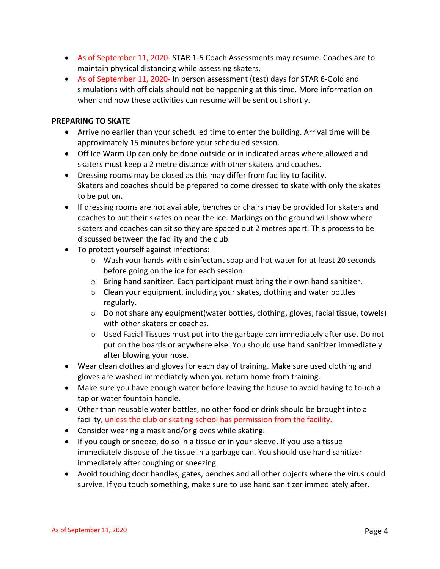- As of September 11, 2020- STAR 1-5 Coach Assessments may resume. Coaches are to maintain physical distancing while assessing skaters.
- As of September 11, 2020- In person assessment (test) days for STAR 6-Gold and simulations with officials should not be happening at this time. More information on when and how these activities can resume will be sent out shortly.

### **PREPARING TO SKATE**

- Arrive no earlier than your scheduled time to enter the building. Arrival time will be approximately 15 minutes before your scheduled session.
- Off Ice Warm Up can only be done outside or in indicated areas where allowed and skaters must keep a 2 metre distance with other skaters and coaches.
- Dressing rooms may be closed as this may differ from facility to facility. Skaters and coaches should be prepared to come dressed to skate with only the skates to be put on**.**
- If dressing rooms are not available, benches or chairs may be provided for skaters and coaches to put their skates on near the ice. Markings on the ground will show where skaters and coaches can sit so they are spaced out 2 metres apart. This process to be discussed between the facility and the club.
- To protect yourself against infections:
	- o Wash your hands with disinfectant soap and hot water for at least 20 seconds before going on the ice for each session.
	- $\circ$  Bring hand sanitizer. Each participant must bring their own hand sanitizer.
	- o Clean your equipment, including your skates, clothing and water bottles regularly.
	- $\circ$  Do not share any equipment (water bottles, clothing, gloves, facial tissue, towels) with other skaters or coaches.
	- $\circ$  Used Facial Tissues must put into the garbage can immediately after use. Do not put on the boards or anywhere else. You should use hand sanitizer immediately after blowing your nose.
- Wear clean clothes and gloves for each day of training. Make sure used clothing and gloves are washed immediately when you return home from training.
- Make sure you have enough water before leaving the house to avoid having to touch a tap or water fountain handle.
- Other than reusable water bottles, no other food or drink should be brought into a facility, unless the club or skating school has permission from the facility.
- Consider wearing a mask and/or gloves while skating.
- If you cough or sneeze, do so in a tissue or in your sleeve. If you use a tissue immediately dispose of the tissue in a garbage can. You should use hand sanitizer immediately after coughing or sneezing.
- Avoid touching door handles, gates, benches and all other objects where the virus could survive. If you touch something, make sure to use hand sanitizer immediately after.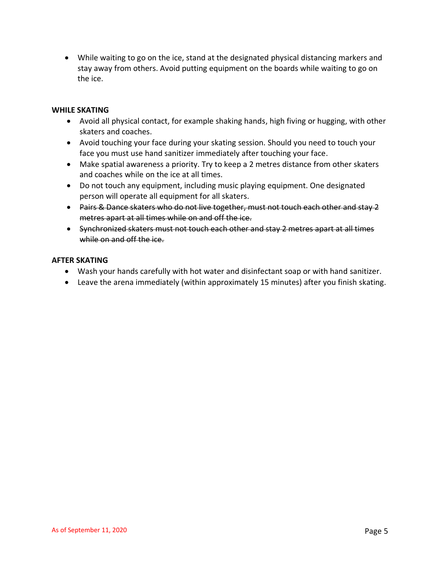• While waiting to go on the ice, stand at the designated physical distancing markers and stay away from others. Avoid putting equipment on the boards while waiting to go on the ice.

# **WHILE SKATING**

- Avoid all physical contact, for example shaking hands, high fiving or hugging, with other skaters and coaches.
- Avoid touching your face during your skating session. Should you need to touch your face you must use hand sanitizer immediately after touching your face.
- Make spatial awareness a priority. Try to keep a 2 metres distance from other skaters and coaches while on the ice at all times.
- Do not touch any equipment, including music playing equipment. One designated person will operate all equipment for all skaters.
- Pairs & Dance skaters who do not live together, must not touch each other and stay 2 metres apart at all times while on and off the ice.
- Synchronized skaters must not touch each other and stay 2 metres apart at all times while on and off the ice.

#### **AFTER SKATING**

- Wash your hands carefully with hot water and disinfectant soap or with hand sanitizer.
- Leave the arena immediately (within approximately 15 minutes) after you finish skating.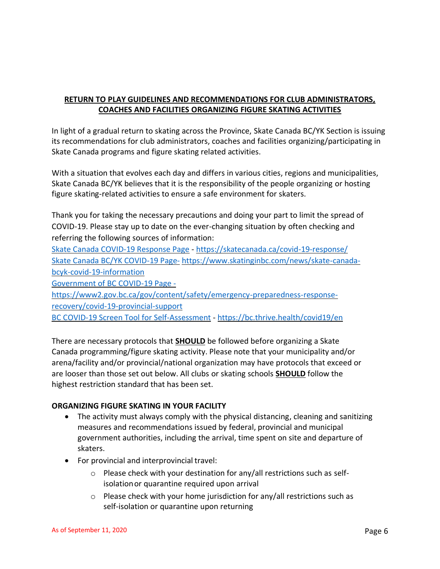# **RETURN TO PLAY GUIDELINES AND RECOMMENDATIONS FOR CLUB ADMINISTRATORS, COACHES AND FACILITIES ORGANIZING FIGURE SKATING ACTIVITIES**

In light of a gradual return to skating across the Province, Skate Canada BC/YK Section is issuing its recommendations for club administrators, coaches and facilities organizing/participating in Skate Canada programs and figure skating related activities.

With a situation that evolves each day and differs in various cities, regions and municipalities, Skate Canada BC/YK believes that it is the responsibility of the people organizing or hosting figure skating-related activities to ensure a safe environment for skaters.

Thank you for taking the necessary precautions and doing your part to limit the spread of COVID-19. Please stay up to date on the ever-changing situation by often checking and referring the following sources of information:

[Skate Canada COVID-19 Response Page](https://skatecanada.ca/covid-19-response/) - <https://skatecanada.ca/covid-19-response/> [Skate Canada BC/YK COVID-19 Page-](https://www.skatinginbc.com/news/skate-canada-bcyk-covid-19-information) [https://www.skatinginbc.com/news/skate-canada](https://www.skatinginbc.com/news/skate-canada-bcyk-covid-19-information)[bcyk-covid-19-information](https://www.skatinginbc.com/news/skate-canada-bcyk-covid-19-information) [Government of BC](https://www2.gov.bc.ca/gov/content/safety/emergency-preparedness-response-recovery/covid-19-provincial-support) COVID-19 Page [https://www2.gov.bc.ca/gov/content/safety/emergency-preparedness-response-](https://www2.gov.bc.ca/gov/content/safety/emergency-preparedness-response-recovery/covid-19-provincial-support)

[recovery/covid-19-provincial-support](https://www2.gov.bc.ca/gov/content/safety/emergency-preparedness-response-recovery/covid-19-provincial-support)

[BC COVID-19 Screen Tool for Self-Assessment](https://bc.thrive.health/covid19/en) - <https://bc.thrive.health/covid19/en>

There are necessary protocols that **SHOULD** be followed before organizing a Skate Canada programming/figure skating activity. Please note that your municipality and/or arena/facility and/or provincial/national organization may have protocols that exceed or are looser than those set out below. All clubs or skating schools **SHOULD** follow the highest restriction standard that has been set.

# **ORGANIZING FIGURE SKATING IN YOUR FACILITY**

- The activity must always comply with the physical distancing, cleaning and sanitizing measures and recommendations issued by federal, provincial and municipal government authorities, including the arrival, time spent on site and departure of skaters.
- For provincial and interprovincial travel:
	- o Please check with your destination for any/all restrictions such as selfisolationor quarantine required upon arrival
	- $\circ$  Please check with your home jurisdiction for any/all restrictions such as self-isolation or quarantine upon returning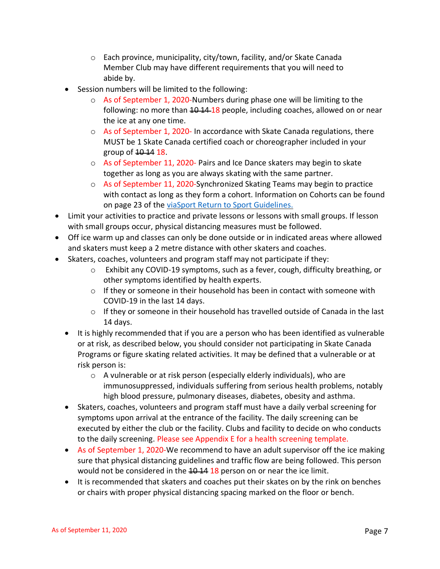- o Each province, municipality, city/town, facility, and/or Skate Canada Member Club may have different requirements that you will need to abide by.
- Session numbers will be limited to the following:
	- $\circ$  As of September 1, 2020-Numbers during phase one will be limiting to the following: no more than 10 14 18 people, including coaches, allowed on or near the ice at any one time.
	- $\circ$  As of September 1, 2020- In accordance with Skate Canada regulations, there MUST be 1 Skate Canada certified coach or choreographer included in your group of  $10-14$  18.
	- o As of September 11, 2020- Pairs and Ice Dance skaters may begin to skate together as long as you are always skating with the same partner.
	- $\circ$  As of September 11, 2020-Synchronized Skating Teams may begin to practice with contact as long as they form a cohort. Information on Cohorts can be found on page 23 of the [viaSport Return to Sport Guidelines.](https://www.viasport.ca/sites/default/files/Phase3ReturntoSportGuidelineswebV2.pdf)
- Limit your activities to practice and private lessons or lessons with small groups. If lesson with small groups occur, physical distancing measures must be followed.
- Off ice warm up and classes can only be done outside or in indicated areas where allowed and skaters must keep a 2 metre distance with other skaters and coaches.
- Skaters, coaches, volunteers and program staff may not participate if they:
	- o Exhibit any COVID-19 symptoms, such as a fever, cough, difficulty breathing, or other symptoms identified by health experts.
	- $\circ$  If they or someone in their household has been in contact with someone with COVID-19 in the last 14 days.
	- o If they or someone in their household has travelled outside of Canada in the last 14 days.
	- It is highly recommended that if you are a person who has been identified as vulnerable or at risk, as described below, you should consider not participating in Skate Canada Programs or figure skating related activities. It may be defined that a vulnerable or at risk person is:
		- o A vulnerable or at risk person (especially elderly individuals), who are immunosuppressed, individuals suffering from serious health problems, notably high blood pressure, pulmonary diseases, diabetes, obesity and asthma.
	- Skaters, coaches, volunteers and program staff must have a daily verbal screening for symptoms upon arrival at the entrance of the facility. The daily screening can be executed by either the club or the facility. Clubs and facility to decide on who conducts to the daily screening. Please see Appendix E for a health screening template.
	- As of September 1, 2020-We recommend to have an adult supervisor off the ice making sure that physical distancing guidelines and traffic flow are being followed. This person would not be considered in the  $10-14-18$  person on or near the ice limit.
	- It is recommended that skaters and coaches put their skates on by the rink on benches or chairs with proper physical distancing spacing marked on the floor or bench.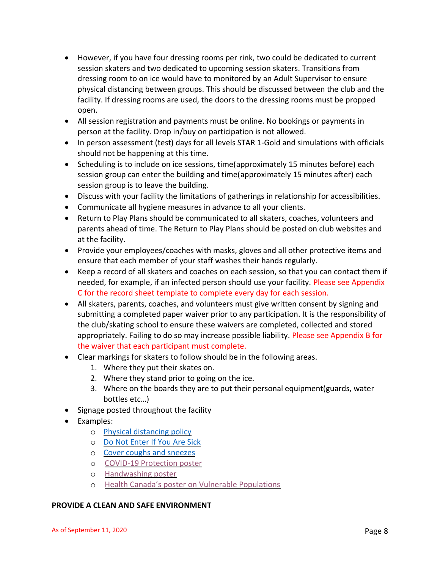- However, if you have four dressing rooms per rink, two could be dedicated to current session skaters and two dedicated to upcoming session skaters. Transitions from dressing room to on ice would have to monitored by an Adult Supervisor to ensure physical distancing between groups. This should be discussed between the club and the facility. If dressing rooms are used, the doors to the dressing rooms must be propped open.
- All session registration and payments must be online. No bookings or payments in person at the facility. Drop in/buy on participation is not allowed.
- In person assessment (test) days for all levels STAR 1-Gold and simulations with officials should not be happening at this time.
- Scheduling is to include on ice sessions, time(approximately 15 minutes before) each session group can enter the building and time(approximately 15 minutes after) each session group is to leave the building.
- Discuss with your facility the limitations of gatherings in relationship for accessibilities.
- Communicate all hygiene measures in advance to all your clients.
- Return to Play Plans should be communicated to all skaters, coaches, volunteers and parents ahead of time. The Return to Play Plans should be posted on club websites and at the facility.
- Provide your employees/coaches with masks, gloves and all other protective items and ensure that each member of your staff washes their hands regularly.
- Keep a record of all skaters and coaches on each session, so that you can contact them if needed, for example, if an infected person should use your facility. Please see Appendix C for the record sheet template to complete every day for each session.
- All skaters, parents, coaches, and volunteers must give written consent by signing and submitting a completed paper waiver prior to any participation. It is the responsibility of the club/skating school to ensure these waivers are completed, collected and stored appropriately. Failing to do so may increase possible liability. Please see Appendix B for the waiver that each participant must complete.
- Clear markings for skaters to follow should be in the following areas.
	- 1. Where they put their skates on.
	- 2. Where they stand prior to going on the ice.
	- 3. Where on the boards they are to put their personal equipment(guards, water bottles etc…)
- Signage posted throughout the facility
- Examples:
	- o [Physical distancing policy](http://www.bccdc.ca/Health-Professionals-Site/Documents/COVID19_PhysicalDistancingPoster.pdf)
	- o [Do Not Enter If You Are Sick](http://www.bccdc.ca/Health-Info-Site/Documents/COVID19_DoNotEnterPoster.pdf)
	- o [Cover coughs and sneezes](https://www.worksafebc.com/en/resources/health-safety/posters/help-prevent-spread-covid-19-cover-coughs-sneezes?lang=en)
	- o [COVID-19 Protection poster](https://www.viasport.ca/sites/default/files/7454-COVID19-Poster-web.pdf)
	- o [Handwashing poster](https://www.viasport.ca/sites/default/files/7454-Handwash-Soap-web.pdf)
	- o [Health Canada's poster on Vulnerable Populations](https://www.canada.ca/content/dam/phac-aspc/documents/services/publications/diseases-conditions/coronavirus/covid-19-vulnerable-populations/covid-19-vulnerable-populations-eng.pdf)

# **PROVIDE A CLEAN AND SAFE ENVIRONMENT**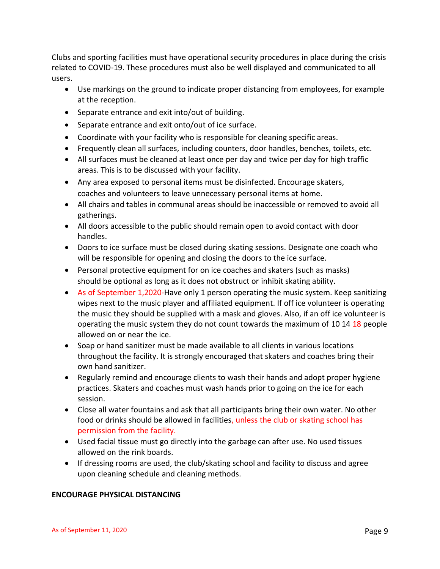Clubs and sporting facilities must have operational security procedures in place during the crisis related to COVID-19. These procedures must also be well displayed and communicated to all users.

- Use markings on the ground to indicate proper distancing from employees, for example at the reception.
- Separate entrance and exit into/out of building.
- Separate entrance and exit onto/out of ice surface.
- Coordinate with your facility who is responsible for cleaning specific areas.
- Frequently clean all surfaces, including counters, door handles, benches, toilets, etc.
- All surfaces must be cleaned at least once per day and twice per day for high traffic areas. This is to be discussed with your facility.
- Any area exposed to personal items must be disinfected. Encourage skaters, coaches and volunteers to leave unnecessary personal items at home.
- All chairs and tables in communal areas should be inaccessible or removed to avoid all gatherings.
- All doors accessible to the public should remain open to avoid contact with door handles.
- Doors to ice surface must be closed during skating sessions. Designate one coach who will be responsible for opening and closing the doors to the ice surface.
- Personal protective equipment for on ice coaches and skaters (such as masks) should be optional as long as it does not obstruct or inhibit skating ability.
- As of September 1,2020-Have only 1 person operating the music system. Keep sanitizing wipes next to the music player and affiliated equipment. If off ice volunteer is operating the music they should be supplied with a mask and gloves. Also, if an off ice volunteer is operating the music system they do not count towards the maximum of  $10-14$  18 people allowed on or near the ice.
- Soap or hand sanitizer must be made available to all clients in various locations throughout the facility. It is strongly encouraged that skaters and coaches bring their own hand sanitizer.
- Regularly remind and encourage clients to wash their hands and adopt proper hygiene practices. Skaters and coaches must wash hands prior to going on the ice for each session.
- Close all water fountains and ask that all participants bring their own water. No other food or drinks should be allowed in facilities, unless the club or skating school has permission from the facility.
- Used facial tissue must go directly into the garbage can after use. No used tissues allowed on the rink boards.
- If dressing rooms are used, the club/skating school and facility to discuss and agree upon cleaning schedule and cleaning methods.

# **ENCOURAGE PHYSICAL DISTANCING**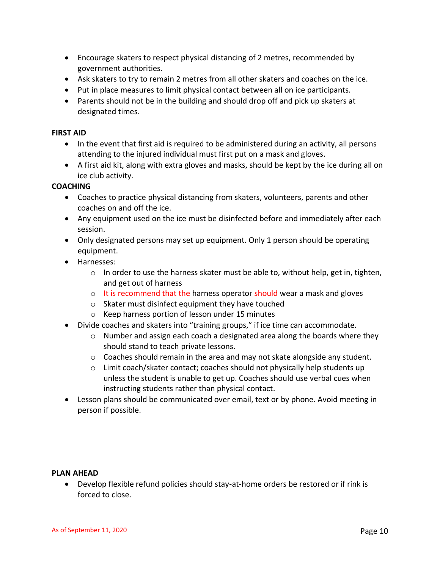- Encourage skaters to respect physical distancing of 2 metres, recommended by government authorities.
- Ask skaters to try to remain 2 metres from all other skaters and coaches on the ice.
- Put in place measures to limit physical contact between all on ice participants.
- Parents should not be in the building and should drop off and pick up skaters at designated times.

# **FIRST AID**

- In the event that first aid is required to be administered during an activity, all persons attending to the injured individual must first put on a mask and gloves.
- A first aid kit, along with extra gloves and masks, should be kept by the ice during all on ice club activity.

# **COACHING**

- Coaches to practice physical distancing from skaters, volunteers, parents and other coaches on and off the ice.
- Any equipment used on the ice must be disinfected before and immediately after each session.
- Only designated persons may set up equipment. Only 1 person should be operating equipment.
- Harnesses:
	- o In order to use the harness skater must be able to, without help, get in, tighten, and get out of harness
	- $\circ$  It is recommend that the harness operator should wear a mask and gloves
	- o Skater must disinfect equipment they have touched
	- o Keep harness portion of lesson under 15 minutes
- Divide coaches and skaters into "training groups," if ice time can accommodate.
	- $\circ$  Number and assign each coach a designated area along the boards where they should stand to teach private lessons.
	- $\circ$  Coaches should remain in the area and may not skate alongside any student.
	- o Limit coach/skater contact; coaches should not physically help students up unless the student is unable to get up. Coaches should use verbal cues when instructing students rather than physical contact.
- Lesson plans should be communicated over email, text or by phone. Avoid meeting in person if possible.

#### **PLAN AHEAD**

• Develop flexible refund policies should stay-at-home orders be restored or if rink is forced to close.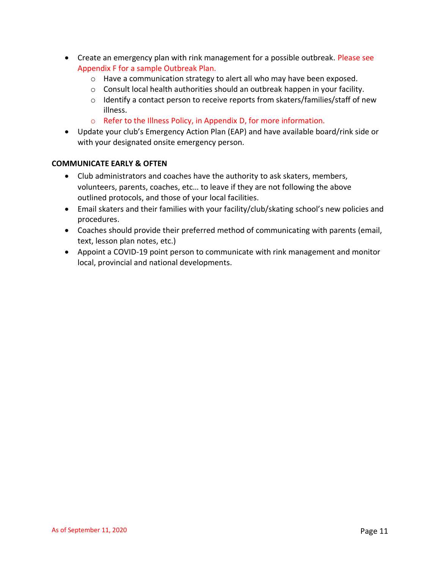- Create an emergency plan with rink management for a possible outbreak. Please see Appendix F for a sample Outbreak Plan.
	- o Have a communication strategy to alert all who may have been exposed.
	- $\circ$  Consult local health authorities should an outbreak happen in your facility.
	- o Identify a contact person to receive reports from skaters/families/staff of new illness.
	- o Refer to the Illness Policy, in Appendix D, for more information.
- Update your club's Emergency Action Plan (EAP) and have available board/rink side or with your designated onsite emergency person.

#### **COMMUNICATE EARLY & OFTEN**

- Club administrators and coaches have the authority to ask skaters, members, volunteers, parents, coaches, etc… to leave if they are not following the above outlined protocols, and those of your local facilities.
- Email skaters and their families with your facility/club/skating school's new policies and procedures.
- Coaches should provide their preferred method of communicating with parents (email, text, lesson plan notes, etc.)
- Appoint a COVID-19 point person to communicate with rink management and monitor local, provincial and national developments.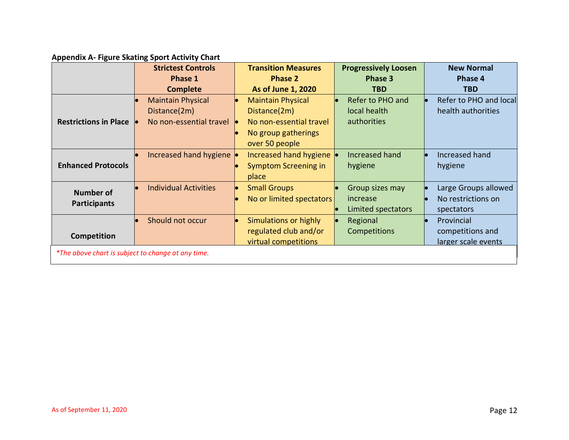# **Appendix A- Figure Skating Sport Activity Chart**

|                                                    | <b>Strictest Controls</b><br>Phase 1<br><b>Complete</b>                       | <b>Transition Measures</b><br><b>Phase 2</b><br><b>As of June 1, 2020</b>                                    | <b>Progressively Loosen</b><br>Phase 3<br><b>TBD</b> | <b>New Normal</b><br><b>Phase 4</b><br><b>TBD</b>        |
|----------------------------------------------------|-------------------------------------------------------------------------------|--------------------------------------------------------------------------------------------------------------|------------------------------------------------------|----------------------------------------------------------|
| <b>Restrictions in Place</b>                       | <b>Maintain Physical</b><br>Distance(2m)<br>No non-essential travel $\bullet$ | <b>Maintain Physical</b><br>Distance(2m)<br>No non-essential travel<br>No group gatherings<br>over 50 people | Refer to PHO and<br>local health<br>authorities      | Refer to PHO and local<br>health authorities             |
| <b>Enhanced Protocols</b>                          | Increased hand hygiene                                                        | Increased hand hygiene<br><b>Symptom Screening in</b><br>place                                               | Increased hand<br>hygiene                            | Increased hand<br>hygiene                                |
| <b>Number of</b><br><b>Participants</b>            | <b>Individual Activities</b>                                                  | <b>Small Groups</b><br>No or limited spectators                                                              | Group sizes may<br>increase<br>Limited spectators    | Large Groups allowed<br>No restrictions on<br>spectators |
| Competition                                        | Should not occur                                                              | Simulations or highly<br>regulated club and/or<br>virtual competitions                                       | Regional<br><b>Competitions</b>                      | Provincial<br>competitions and<br>larger scale events    |
| *The above chart is subject to change at any time. |                                                                               |                                                                                                              |                                                      |                                                          |

 $\mathbf{I}$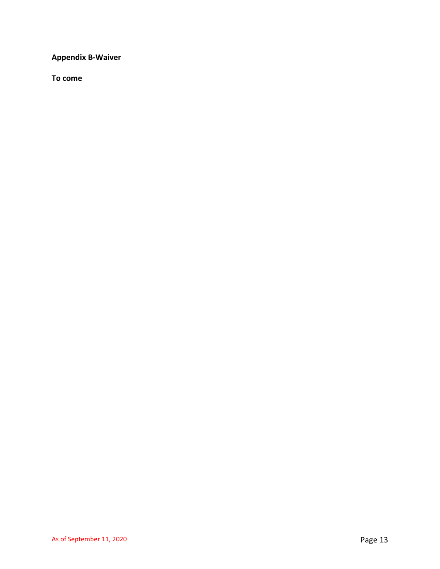**Appendix B-Waiver**

**To come**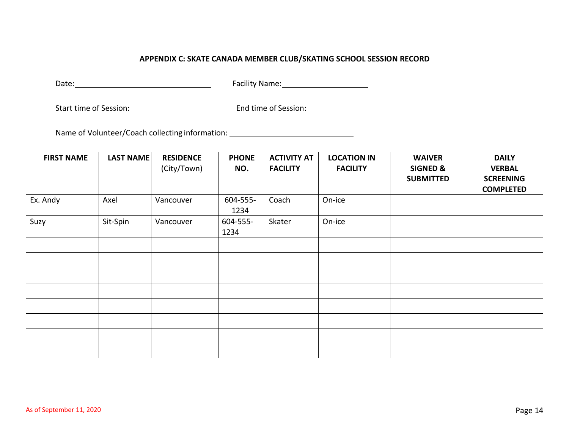# **APPENDIX C: SKATE CANADA MEMBER CLUB/SKATING SCHOOL SESSION RECORD**

Date: Facility Name:

Start time of Session: End time of Session:

Name of Volunteer/Coach collecting information:

| <b>FIRST NAME</b> | <b>LAST NAME</b> | <b>RESIDENCE</b><br>(City/Town) | <b>PHONE</b><br>NO. | <b>ACTIVITY AT</b><br><b>FACILITY</b> | <b>LOCATION IN</b><br><b>FACILITY</b> | <b>WAIVER</b><br><b>SIGNED &amp;</b><br><b>SUBMITTED</b> | <b>DAILY</b><br><b>VERBAL</b><br><b>SCREENING</b><br><b>COMPLETED</b> |
|-------------------|------------------|---------------------------------|---------------------|---------------------------------------|---------------------------------------|----------------------------------------------------------|-----------------------------------------------------------------------|
| Ex. Andy          | Axel             | Vancouver                       | 604-555-<br>1234    | Coach                                 | On-ice                                |                                                          |                                                                       |
| Suzy              | Sit-Spin         | Vancouver                       | 604-555-<br>1234    | Skater                                | On-ice                                |                                                          |                                                                       |
|                   |                  |                                 |                     |                                       |                                       |                                                          |                                                                       |
|                   |                  |                                 |                     |                                       |                                       |                                                          |                                                                       |
|                   |                  |                                 |                     |                                       |                                       |                                                          |                                                                       |
|                   |                  |                                 |                     |                                       |                                       |                                                          |                                                                       |
|                   |                  |                                 |                     |                                       |                                       |                                                          |                                                                       |
|                   |                  |                                 |                     |                                       |                                       |                                                          |                                                                       |
|                   |                  |                                 |                     |                                       |                                       |                                                          |                                                                       |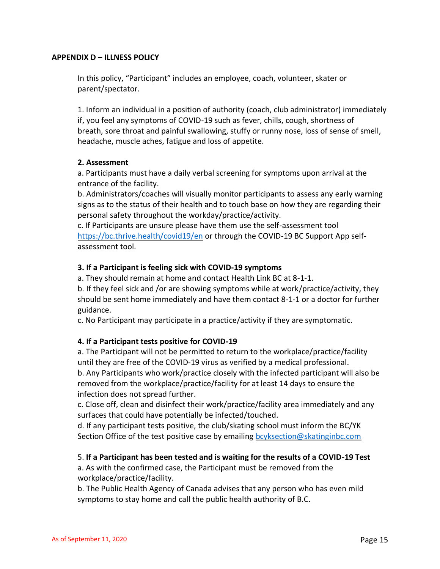# **APPENDIX D – ILLNESS POLICY**

In this policy, "Participant" includes an employee, coach, volunteer, skater or parent/spectator.

1. Inform an individual in a position of authority (coach, club administrator) immediately if, you feel any symptoms of COVID-19 such as fever, chills, cough, shortness of breath, sore throat and painful swallowing, stuffy or runny nose, loss of sense of smell, headache, muscle aches, fatigue and loss of appetite.

#### **2. Assessment**

a. Participants must have a daily verbal screening for symptoms upon arrival at the entrance of the facility.

b. Administrators/coaches will visually monitor participants to assess any early warning signs as to the status of their health and to touch base on how they are regarding their personal safety throughout the workday/practice/activity.

c. If Participants are unsure please have them use the self-assessment tool <https://bc.thrive.health/covid19/en> or through the COVID-19 BC Support App selfassessment tool.

# **3. If a Participant is feeling sick with COVID-19 symptoms**

a. They should remain at home and contact Health Link BC at 8-1-1.

b. If they feel sick and /or are showing symptoms while at work/practice/activity, they should be sent home immediately and have them contact 8-1-1 or a doctor for further guidance.

c. No Participant may participate in a practice/activity if they are symptomatic.

# **4. If a Participant tests positive for COVID-19**

a. The Participant will not be permitted to return to the workplace/practice/facility until they are free of the COVID-19 virus as verified by a medical professional. b. Any Participants who work/practice closely with the infected participant will also be removed from the workplace/practice/facility for at least 14 days to ensure the infection does not spread further.

c. Close off, clean and disinfect their work/practice/facility area immediately and any surfaces that could have potentially be infected/touched.

d. If any participant tests positive, the club/skating school must inform the BC/YK Section Office of the test positive case by emailing [bcyksection@skatinginbc.com](mailto:bcyksection@skatinginbc.com)

#### 5. **If a Participant has been tested and is waiting for the results of a COVID-19 Test**

a. As with the confirmed case, the Participant must be removed from the workplace/practice/facility.

b. The Public Health Agency of Canada advises that any person who has even mild symptoms to stay home and call the public health authority of B.C.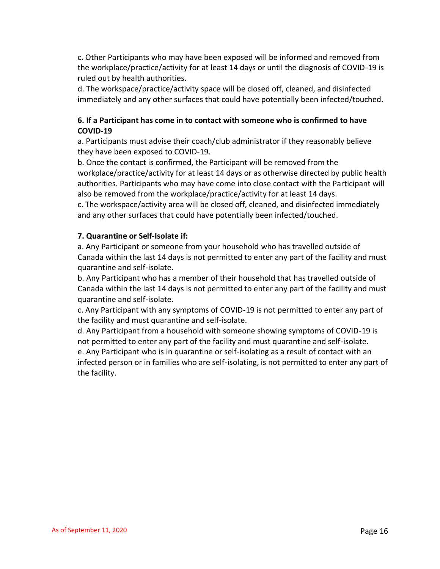c. Other Participants who may have been exposed will be informed and removed from the workplace/practice/activity for at least 14 days or until the diagnosis of COVID-19 is ruled out by health authorities.

d. The workspace/practice/activity space will be closed off, cleaned, and disinfected immediately and any other surfaces that could have potentially been infected/touched.

# **6. If a Participant has come in to contact with someone who is confirmed to have COVID-19**

a. Participants must advise their coach/club administrator if they reasonably believe they have been exposed to COVID-19.

b. Once the contact is confirmed, the Participant will be removed from the workplace/practice/activity for at least 14 days or as otherwise directed by public health authorities. Participants who may have come into close contact with the Participant will also be removed from the workplace/practice/activity for at least 14 days.

c. The workspace/activity area will be closed off, cleaned, and disinfected immediately and any other surfaces that could have potentially been infected/touched.

# **7. Quarantine or Self-Isolate if:**

a. Any Participant or someone from your household who has travelled outside of Canada within the last 14 days is not permitted to enter any part of the facility and must quarantine and self-isolate.

b. Any Participant who has a member of their household that has travelled outside of Canada within the last 14 days is not permitted to enter any part of the facility and must quarantine and self-isolate.

c. Any Participant with any symptoms of COVID-19 is not permitted to enter any part of the facility and must quarantine and self-isolate.

d. Any Participant from a household with someone showing symptoms of COVID-19 is not permitted to enter any part of the facility and must quarantine and self-isolate. e. Any Participant who is in quarantine or self-isolating as a result of contact with an infected person or in families who are self-isolating, is not permitted to enter any part of the facility.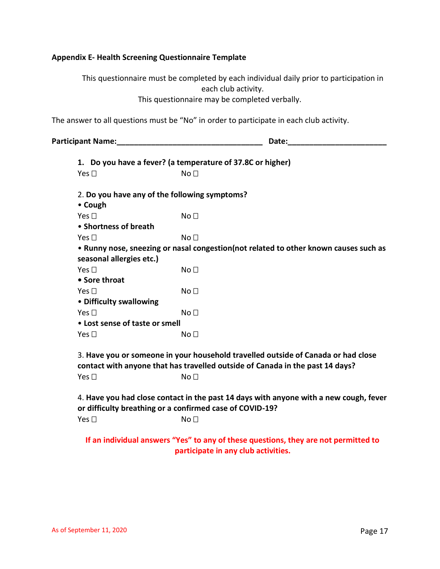# **Appendix E- Health Screening Questionnaire Template**

This questionnaire must be completed by each individual daily prior to participation in each club activity. This questionnaire may be completed verbally.

The answer to all questions must be "No" in order to participate in each club activity.

**Participant Name:\_\_\_\_\_\_\_\_\_\_\_\_\_\_\_\_\_\_\_\_\_\_\_\_\_\_\_\_\_\_\_\_\_\_ Date:\_\_\_\_\_\_\_\_\_\_\_\_\_\_\_\_\_\_\_\_\_\_\_**

| 1. Do you have a fever? (a temperature of 37.8C or higher)                                                                                        |                                                                                                                                                                    |  |  |
|---------------------------------------------------------------------------------------------------------------------------------------------------|--------------------------------------------------------------------------------------------------------------------------------------------------------------------|--|--|
| Yes $\square$                                                                                                                                     | No <sub>1</sub>                                                                                                                                                    |  |  |
|                                                                                                                                                   |                                                                                                                                                                    |  |  |
| 2. Do you have any of the following symptoms?                                                                                                     |                                                                                                                                                                    |  |  |
| • Cough                                                                                                                                           |                                                                                                                                                                    |  |  |
| Yes $\Box$                                                                                                                                        | No <sub>1</sub>                                                                                                                                                    |  |  |
| • Shortness of breath                                                                                                                             |                                                                                                                                                                    |  |  |
| Yes $\square$                                                                                                                                     | No <sub>1</sub>                                                                                                                                                    |  |  |
|                                                                                                                                                   | . Runny nose, sneezing or nasal congestion(not related to other known causes such as                                                                               |  |  |
| seasonal allergies etc.)                                                                                                                          |                                                                                                                                                                    |  |  |
| Yes $\Box$                                                                                                                                        | No <sub>1</sub>                                                                                                                                                    |  |  |
| • Sore throat                                                                                                                                     |                                                                                                                                                                    |  |  |
| Yes $\Box$                                                                                                                                        | No <sub>1</sub>                                                                                                                                                    |  |  |
| • Difficulty swallowing                                                                                                                           |                                                                                                                                                                    |  |  |
| Yes $\square$                                                                                                                                     | No <sub>1</sub>                                                                                                                                                    |  |  |
| • Lost sense of taste or smell                                                                                                                    |                                                                                                                                                                    |  |  |
| Yes $\Box$                                                                                                                                        | No <sub>1</sub>                                                                                                                                                    |  |  |
|                                                                                                                                                   |                                                                                                                                                                    |  |  |
|                                                                                                                                                   | 3. Have you or someone in your household travelled outside of Canada or had close<br>contact with anyone that has travelled outside of Canada in the past 14 days? |  |  |
| Yes $\square$                                                                                                                                     | No <sub>1</sub>                                                                                                                                                    |  |  |
| 4. Have you had close contact in the past 14 days with anyone with a new cough, fever<br>or difficulty breathing or a confirmed case of COVID-19? |                                                                                                                                                                    |  |  |
| Yes $\square$                                                                                                                                     | No <sub>1</sub>                                                                                                                                                    |  |  |
|                                                                                                                                                   | If an individual answers "Yes" to any of these questions, they are not permitted to                                                                                |  |  |

**participate in any club activities.**